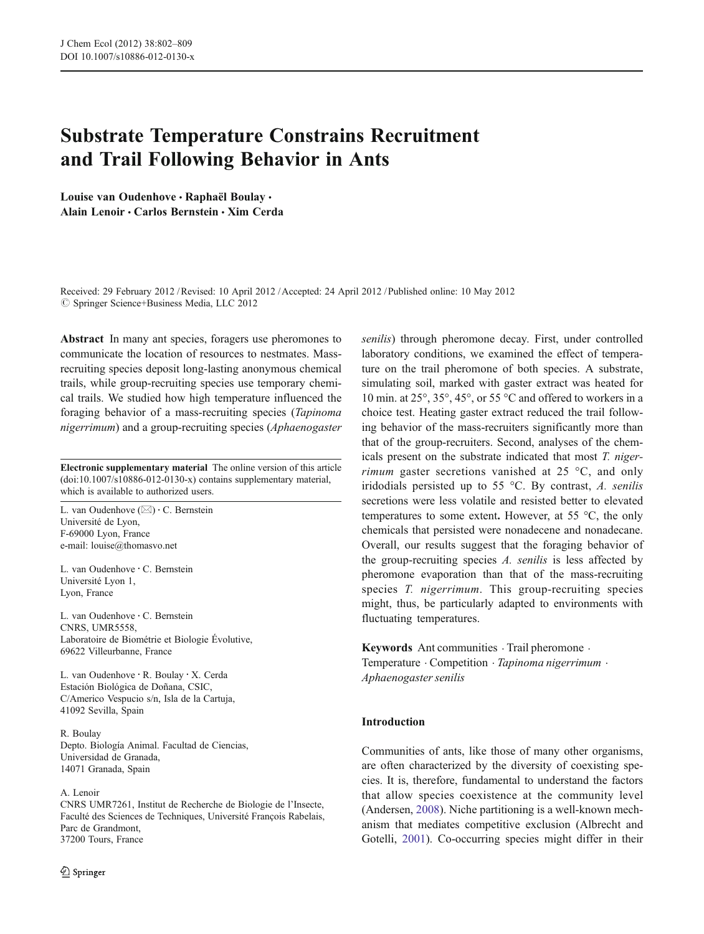# Substrate Temperature Constrains Recruitment and Trail Following Behavior in Ants

Louise van Oudenhove · Raphaël Boulay · Alain Lenoir · Carlos Bernstein · Xim Cerda

Received: 29 February 2012 /Revised: 10 April 2012 /Accepted: 24 April 2012 / Published online: 10 May 2012  $\oslash$  Springer Science+Business Media, LLC 2012

Abstract In many ant species, foragers use pheromones to communicate the location of resources to nestmates. Massrecruiting species deposit long-lasting anonymous chemical trails, while group-recruiting species use temporary chemical trails. We studied how high temperature influenced the foraging behavior of a mass-recruiting species (Tapinoma nigerrimum) and a group-recruiting species (Aphaenogaster

Electronic supplementary material The online version of this article (doi:[10.1007/s10886-012-0130-x](http://dx.doi.org/10.1007/s10886-012-0130-x)) contains supplementary material, which is available to authorized users.

L. van Oudenhove  $(\boxtimes) \cdot C$ . Bernstein Université de Lyon, F-69000 Lyon, France e-mail: louise@thomasvo.net

L. van Oudenhove : C. Bernstein Université Lyon 1, Lyon, France

L. van Oudenhove : C. Bernstein CNRS, UMR5558, Laboratoire de Biométrie et Biologie Évolutive, 69622 Villeurbanne, France

L. van Oudenhove : R. Boulay : X. Cerda Estación Biológica de Doñana, CSIC, C/Americo Vespucio s/n, Isla de la Cartuja, 41092 Sevilla, Spain

R. Boulay Depto. Biología Animal. Facultad de Ciencias, Universidad de Granada, 14071 Granada, Spain

#### A. Lenoir

CNRS UMR7261, Institut de Recherche de Biologie de l'Insecte, Faculté des Sciences de Techniques, Université François Rabelais, Parc de Grandmont, 37200 Tours, France

senilis) through pheromone decay. First, under controlled laboratory conditions, we examined the effect of temperature on the trail pheromone of both species. A substrate, simulating soil, marked with gaster extract was heated for 10 min. at 25°, 35°, 45°, or 55 °C and offered to workers in a choice test. Heating gaster extract reduced the trail following behavior of the mass-recruiters significantly more than that of the group-recruiters. Second, analyses of the chemicals present on the substrate indicated that most T. nigerrimum gaster secretions vanished at 25 °C, and only iridodials persisted up to 55 °C. By contrast, A. senilis secretions were less volatile and resisted better to elevated temperatures to some extent. However, at 55 °C, the only chemicals that persisted were nonadecene and nonadecane. Overall, our results suggest that the foraging behavior of the group-recruiting species A. senilis is less affected by pheromone evaporation than that of the mass-recruiting species T. nigerrimum. This group-recruiting species might, thus, be particularly adapted to environments with fluctuating temperatures.

Keywords Ant communities  $\cdot$  Trail pheromone  $\cdot$ Temperature  $\cdot$  Competition  $\cdot$  Tapinoma nigerrimum  $\cdot$ Aphaenogaster senilis

#### Introduction

Communities of ants, like those of many other organisms, are often characterized by the diversity of coexisting species. It is, therefore, fundamental to understand the factors that allow species coexistence at the community level (Andersen, [2008](#page-6-0)). Niche partitioning is a well-known mechanism that mediates competitive exclusion (Albrecht and Gotelli, [2001](#page-6-0)). Co-occurring species might differ in their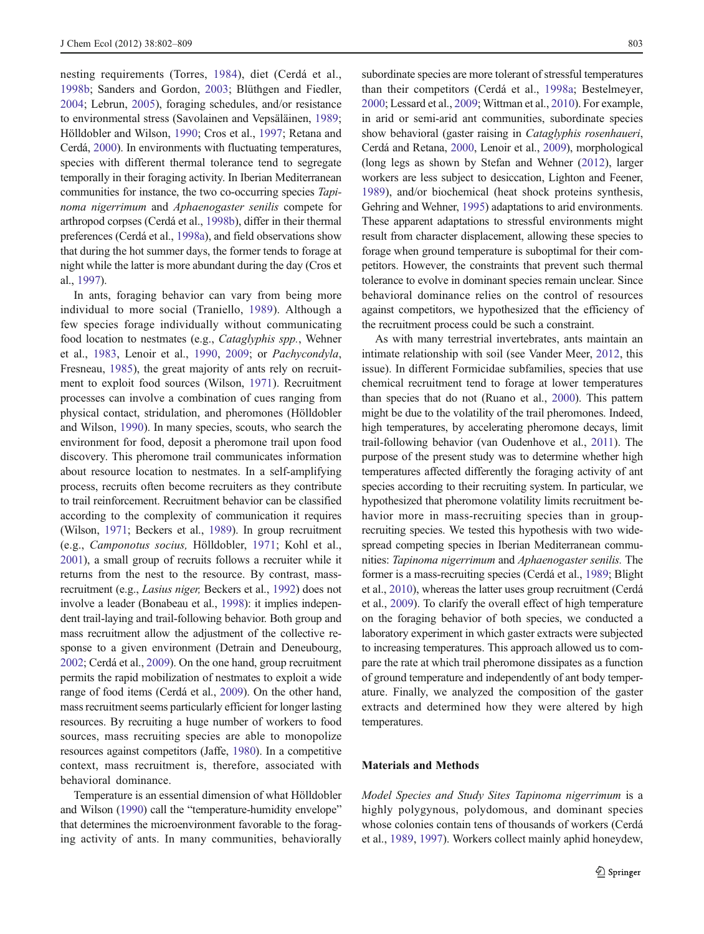nesting requirements (Torres, [1984](#page-7-0)), diet (Cerdá et al., [1998b;](#page-7-0) Sanders and Gordon, [2003](#page-7-0); Blüthgen and Fiedler, [2004;](#page-6-0) Lebrun, [2005](#page-7-0)), foraging schedules, and/or resistance to environmental stress (Savolainen and Vepsäläinen, [1989](#page-7-0); Hölldobler and Wilson, [1990](#page-7-0); Cros et al., [1997](#page-7-0); Retana and Cerdá, [2000\)](#page-7-0). In environments with fluctuating temperatures, species with different thermal tolerance tend to segregate temporally in their foraging activity. In Iberian Mediterranean communities for instance, the two co-occurring species Tapinoma nigerrimum and Aphaenogaster senilis compete for arthropod corpses (Cerdá et al., [1998b\)](#page-7-0), differ in their thermal preferences (Cerdá et al., [1998a](#page-7-0)), and field observations show that during the hot summer days, the former tends to forage at night while the latter is more abundant during the day (Cros et al., [1997\)](#page-7-0).

In ants, foraging behavior can vary from being more individual to more social (Traniello, [1989](#page-7-0)). Although a few species forage individually without communicating food location to nestmates (e.g., Cataglyphis spp., Wehner et al., [1983,](#page-7-0) Lenoir et al., [1990](#page-7-0), [2009;](#page-7-0) or Pachycondyla, Fresneau, [1985\)](#page-7-0), the great majority of ants rely on recruitment to exploit food sources (Wilson, [1971\)](#page-7-0). Recruitment processes can involve a combination of cues ranging from physical contact, stridulation, and pheromones (Hölldobler and Wilson, [1990\)](#page-7-0). In many species, scouts, who search the environment for food, deposit a pheromone trail upon food discovery. This pheromone trail communicates information about resource location to nestmates. In a self-amplifying process, recruits often become recruiters as they contribute to trail reinforcement. Recruitment behavior can be classified according to the complexity of communication it requires (Wilson, [1971;](#page-7-0) Beckers et al., [1989](#page-6-0)). In group recruitment (e.g., Camponotus socius, Hölldobler, [1971;](#page-7-0) Kohl et al., [2001\)](#page-7-0), a small group of recruits follows a recruiter while it returns from the nest to the resource. By contrast, massrecruitment (e.g., Lasius niger, Beckers et al., [1992](#page-6-0)) does not involve a leader (Bonabeau et al., [1998\)](#page-6-0): it implies independent trail-laying and trail-following behavior. Both group and mass recruitment allow the adjustment of the collective response to a given environment (Detrain and Deneubourg, [2002;](#page-7-0) Cerdá et al., [2009\)](#page-7-0). On the one hand, group recruitment permits the rapid mobilization of nestmates to exploit a wide range of food items (Cerdá et al., [2009\)](#page-7-0). On the other hand, massrecruitment seems particularly efficient for longer lasting resources. By recruiting a huge number of workers to food sources, mass recruiting species are able to monopolize resources against competitors (Jaffe, [1980](#page-7-0)). In a competitive context, mass recruitment is, therefore, associated with behavioral dominance.

Temperature is an essential dimension of what Hölldobler and Wilson ([1990](#page-7-0)) call the "temperature-humidity envelope" that determines the microenvironment favorable to the foraging activity of ants. In many communities, behaviorally subordinate species are more tolerant of stressful temperatures than their competitors (Cerdá et al., [1998a](#page-7-0); Bestelmeyer, [2000;](#page-6-0) Lessard et al., [2009](#page-7-0); Wittman et al., [2010](#page-7-0)). For example, in arid or semi-arid ant communities, subordinate species show behavioral (gaster raising in Cataglyphis rosenhaueri, Cerdá and Retana, [2000](#page-7-0), Lenoir et al., [2009](#page-7-0)), morphological (long legs as shown by Stefan and Wehner [\(2012\)](#page-7-0), larger workers are less subject to desiccation, Lighton and Feener, [1989](#page-7-0)), and/or biochemical (heat shock proteins synthesis, Gehring and Wehner, [1995](#page-7-0)) adaptations to arid environments. These apparent adaptations to stressful environments might result from character displacement, allowing these species to forage when ground temperature is suboptimal for their competitors. However, the constraints that prevent such thermal tolerance to evolve in dominant species remain unclear. Since behavioral dominance relies on the control of resources against competitors, we hypothesized that the efficiency of the recruitment process could be such a constraint.

As with many terrestrial invertebrates, ants maintain an intimate relationship with soil (see Vander Meer, [2012,](#page-7-0) this issue). In different Formicidae subfamilies, species that use chemical recruitment tend to forage at lower temperatures than species that do not (Ruano et al., [2000\)](#page-7-0). This pattern might be due to the volatility of the trail pheromones. Indeed, high temperatures, by accelerating pheromone decays, limit trail-following behavior (van Oudenhove et al., [2011\)](#page-7-0). The purpose of the present study was to determine whether high temperatures affected differently the foraging activity of ant species according to their recruiting system. In particular, we hypothesized that pheromone volatility limits recruitment behavior more in mass-recruiting species than in grouprecruiting species. We tested this hypothesis with two widespread competing species in Iberian Mediterranean communities: Tapinoma nigerrimum and Aphaenogaster senilis. The former is a mass-recruiting species (Cerdá et al., [1989;](#page-7-0) Blight et al., [2010](#page-6-0)), whereas the latter uses group recruitment (Cerdá et al., [2009\)](#page-7-0). To clarify the overall effect of high temperature on the foraging behavior of both species, we conducted a laboratory experiment in which gaster extracts were subjected to increasing temperatures. This approach allowed us to compare the rate at which trail pheromone dissipates as a function of ground temperature and independently of ant body temperature. Finally, we analyzed the composition of the gaster extracts and determined how they were altered by high temperatures.

## Materials and Methods

Model Species and Study Sites Tapinoma nigerrimum is a highly polygynous, polydomous, and dominant species whose colonies contain tens of thousands of workers (Cerdá et al., [1989,](#page-7-0) [1997\)](#page-7-0). Workers collect mainly aphid honeydew,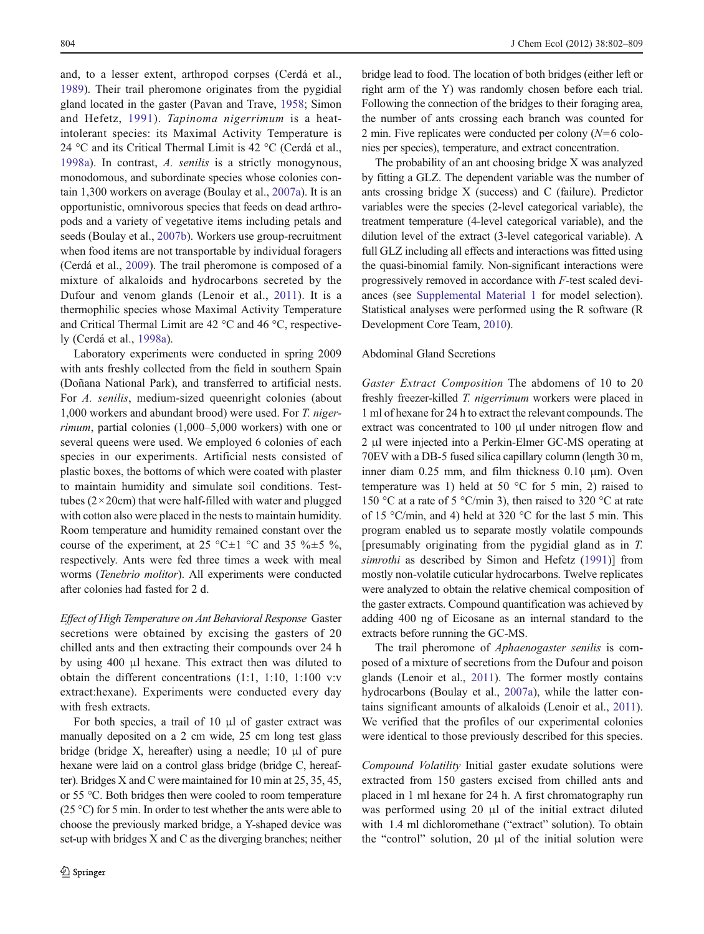and, to a lesser extent, arthropod corpses (Cerdá et al., [1989\)](#page-7-0). Their trail pheromone originates from the pygidial gland located in the gaster (Pavan and Trave, [1958](#page-7-0); Simon and Hefetz, [1991](#page-7-0)). Tapinoma nigerrimum is a heatintolerant species: its Maximal Activity Temperature is 24 °C and its Critical Thermal Limit is 42 °C (Cerdá et al., [1998a\)](#page-7-0). In contrast, A. senilis is a strictly monogynous, monodomous, and subordinate species whose colonies contain 1,300 workers on average (Boulay et al., [2007a\)](#page-6-0). It is an opportunistic, omnivorous species that feeds on dead arthropods and a variety of vegetative items including petals and seeds (Boulay et al., [2007b\)](#page-7-0). Workers use group-recruitment when food items are not transportable by individual foragers (Cerdá et al., [2009](#page-7-0)). The trail pheromone is composed of a mixture of alkaloids and hydrocarbons secreted by the Dufour and venom glands (Lenoir et al., [2011\)](#page-7-0). It is a thermophilic species whose Maximal Activity Temperature and Critical Thermal Limit are 42 °C and 46 °C, respectively (Cerdá et al., [1998a\)](#page-7-0).

Laboratory experiments were conducted in spring 2009 with ants freshly collected from the field in southern Spain (Doñana National Park), and transferred to artificial nests. For A. senilis, medium-sized queenright colonies (about 1,000 workers and abundant brood) were used. For T. nigerrimum, partial colonies (1,000–5,000 workers) with one or several queens were used. We employed 6 colonies of each species in our experiments. Artificial nests consisted of plastic boxes, the bottoms of which were coated with plaster to maintain humidity and simulate soil conditions. Testtubes  $(2 \times 20$ cm) that were half-filled with water and plugged with cotton also were placed in the nests to maintain humidity. Room temperature and humidity remained constant over the course of the experiment, at 25 °C $\pm$ 1 °C and 35 % $\pm$ 5 %, respectively. Ants were fed three times a week with meal worms (Tenebrio molitor). All experiments were conducted after colonies had fasted for 2 d.

Effect of High Temperature on Ant Behavioral Response Gaster secretions were obtained by excising the gasters of 20 chilled ants and then extracting their compounds over 24 h by using 400 μl hexane. This extract then was diluted to obtain the different concentrations (1:1, 1:10, 1:100 v:v extract:hexane). Experiments were conducted every day with fresh extracts.

For both species, a trail of 10  $\mu$ l of gaster extract was manually deposited on a 2 cm wide, 25 cm long test glass bridge (bridge X, hereafter) using a needle; 10 μl of pure hexane were laid on a control glass bridge (bridge C, hereafter). Bridges X and C were maintained for 10 min at 25, 35, 45, or 55 °C. Both bridges then were cooled to room temperature (25 °C) for 5 min. In order to test whether the ants were able to choose the previously marked bridge, a Y-shaped device was set-up with bridges X and C as the diverging branches; neither bridge lead to food. The location of both bridges (either left or right arm of the Y) was randomly chosen before each trial. Following the connection of the bridges to their foraging area, the number of ants crossing each branch was counted for 2 min. Five replicates were conducted per colony  $(N=6 \text{ colo-}$ nies per species), temperature, and extract concentration.

The probability of an ant choosing bridge X was analyzed by fitting a GLZ. The dependent variable was the number of ants crossing bridge X (success) and C (failure). Predictor variables were the species (2-level categorical variable), the treatment temperature (4-level categorical variable), and the dilution level of the extract (3-level categorical variable). A full GLZ including all effects and interactions was fitted using the quasi-binomial family. Non-significant interactions were progressively removed in accordance with F-test scaled deviances (see Supplemental Material 1 for model selection). Statistical analyses were performed using the R software (R Development Core Team, [2010\)](#page-7-0).

### Abdominal Gland Secretions

Gaster Extract Composition The abdomens of 10 to 20 freshly freezer-killed T. nigerrimum workers were placed in 1 ml of hexane for 24 h to extract the relevant compounds. The extract was concentrated to 100 μl under nitrogen flow and 2 μl were injected into a Perkin-Elmer GC-MS operating at 70EV with a DB-5 fused silica capillary column (length 30 m, inner diam 0.25 mm, and film thickness 0.10 μm). Oven temperature was 1) held at 50  $^{\circ}$ C for 5 min, 2) raised to 150 °C at a rate of 5 °C/min 3), then raised to 320 °C at rate of 15 °C/min, and 4) held at 320 °C for the last 5 min. This program enabled us to separate mostly volatile compounds [presumably originating from the pygidial gland as in T. simrothi as described by Simon and Hefetz [\(1991](#page-7-0))] from mostly non-volatile cuticular hydrocarbons. Twelve replicates were analyzed to obtain the relative chemical composition of the gaster extracts. Compound quantification was achieved by adding 400 ng of Eicosane as an internal standard to the extracts before running the GC-MS.

The trail pheromone of Aphaenogaster senilis is composed of a mixture of secretions from the Dufour and poison glands (Lenoir et al., [2011](#page-7-0)). The former mostly contains hydrocarbons (Boulay et al., [2007a](#page-6-0)), while the latter contains significant amounts of alkaloids (Lenoir et al., [2011\)](#page-7-0). We verified that the profiles of our experimental colonies were identical to those previously described for this species.

Compound Volatility Initial gaster exudate solutions were extracted from 150 gasters excised from chilled ants and placed in 1 ml hexane for 24 h. A first chromatography run was performed using 20 μl of the initial extract diluted with 1.4 ml dichloromethane ("extract" solution). To obtain the "control" solution, 20 μl of the initial solution were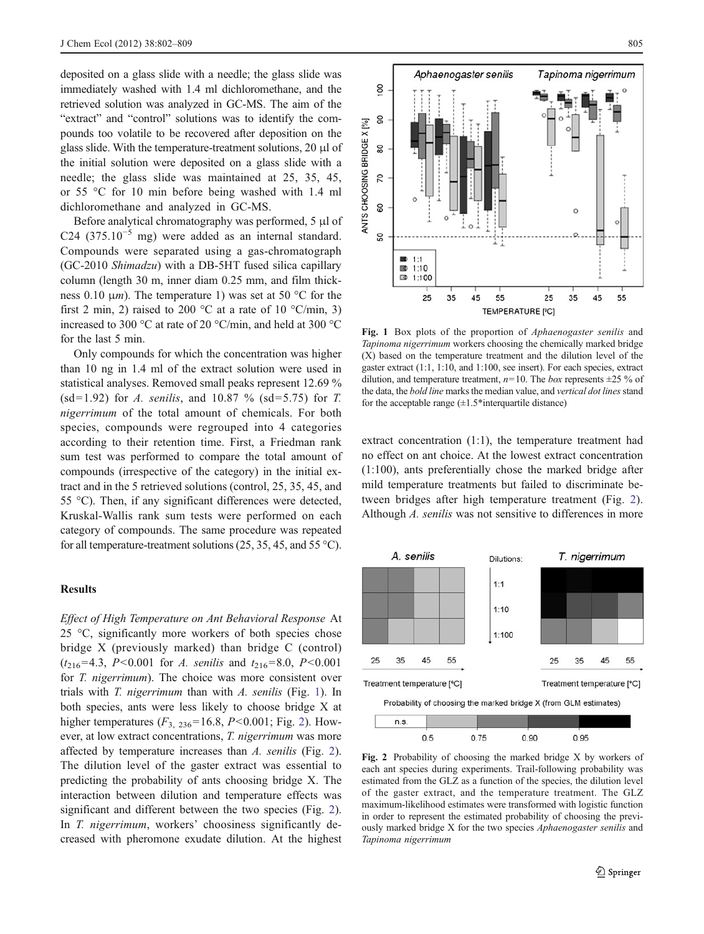<span id="page-3-0"></span>deposited on a glass slide with a needle; the glass slide was immediately washed with 1.4 ml dichloromethane, and the retrieved solution was analyzed in GC-MS. The aim of the "extract" and "control" solutions was to identify the compounds too volatile to be recovered after deposition on the glass slide. With the temperature-treatment solutions, 20 μl of the initial solution were deposited on a glass slide with a needle; the glass slide was maintained at 25, 35, 45, or 55 °C for 10 min before being washed with 1.4 ml dichloromethane and analyzed in GC-MS.

Before analytical chromatography was performed, 5 μl of C24 (375.10<sup>-5</sup> mg) were added as an internal standard. Compounds were separated using a gas-chromatograph (GC-2010 Shimadzu) with a DB-5HT fused silica capillary column (length 30 m, inner diam 0.25 mm, and film thickness 0.10  $\mu$ m). The temperature 1) was set at 50 °C for the first 2 min, 2) raised to 200 °C at a rate of 10 °C/min, 3) increased to 300 °C at rate of 20 °C/min, and held at 300 °C for the last 5 min.

Only compounds for which the concentration was higher than 10 ng in 1.4 ml of the extract solution were used in statistical analyses. Removed small peaks represent 12.69 % (sd=1.92) for A. senilis, and 10.87 % (sd=5.75) for T. nigerrimum of the total amount of chemicals. For both species, compounds were regrouped into 4 categories according to their retention time. First, a Friedman rank sum test was performed to compare the total amount of compounds (irrespective of the category) in the initial extract and in the 5 retrieved solutions (control, 25, 35, 45, and 55 °C). Then, if any significant differences were detected, Kruskal-Wallis rank sum tests were performed on each category of compounds. The same procedure was repeated for all temperature-treatment solutions  $(25, 35, 45,$  and  $55 \degree C$ ).

### **Results**

Effect of High Temperature on Ant Behavioral Response At 25 °C, significantly more workers of both species chose bridge X (previously marked) than bridge C (control)  $(t_{216}=4.3, P<0.001$  for A. senilis and  $t_{216}=8.0, P<0.001$ for *T. nigerrimum*). The choice was more consistent over trials with T. nigerrimum than with A. senilis (Fig. 1). In both species, ants were less likely to choose bridge X at higher temperatures  $(F_{3, 236} = 16.8, P < 0.001$ ; Fig. 2). However, at low extract concentrations, T. nigerrimum was more affected by temperature increases than A. senilis (Fig. 2). The dilution level of the gaster extract was essential to predicting the probability of ants choosing bridge X. The interaction between dilution and temperature effects was significant and different between the two species (Fig. 2). In *T. nigerrimum*, workers' choosiness significantly decreased with pheromone exudate dilution. At the highest



Fig. 1 Box plots of the proportion of *Aphaenogaster senilis* and Tapinoma nigerrimum workers choosing the chemically marked bridge (X) based on the temperature treatment and the dilution level of the gaster extract (1:1, 1:10, and 1:100, see insert). For each species, extract dilution, and temperature treatment,  $n=10$ . The box represents  $\pm 25$  % of the data, the bold line marks the median value, and vertical dot lines stand for the acceptable range  $(\pm 1.5^*$ interquartile distance)

extract concentration (1:1), the temperature treatment had no effect on ant choice. At the lowest extract concentration (1:100), ants preferentially chose the marked bridge after mild temperature treatments but failed to discriminate between bridges after high temperature treatment (Fig. 2). Although A. senilis was not sensitive to differences in more



Fig. 2 Probability of choosing the marked bridge X by workers of each ant species during experiments. Trail-following probability was estimated from the GLZ as a function of the species, the dilution level of the gaster extract, and the temperature treatment. The GLZ maximum-likelihood estimates were transformed with logistic function in order to represent the estimated probability of choosing the previously marked bridge X for the two species Aphaenogaster senilis and Tapinoma nigerrimum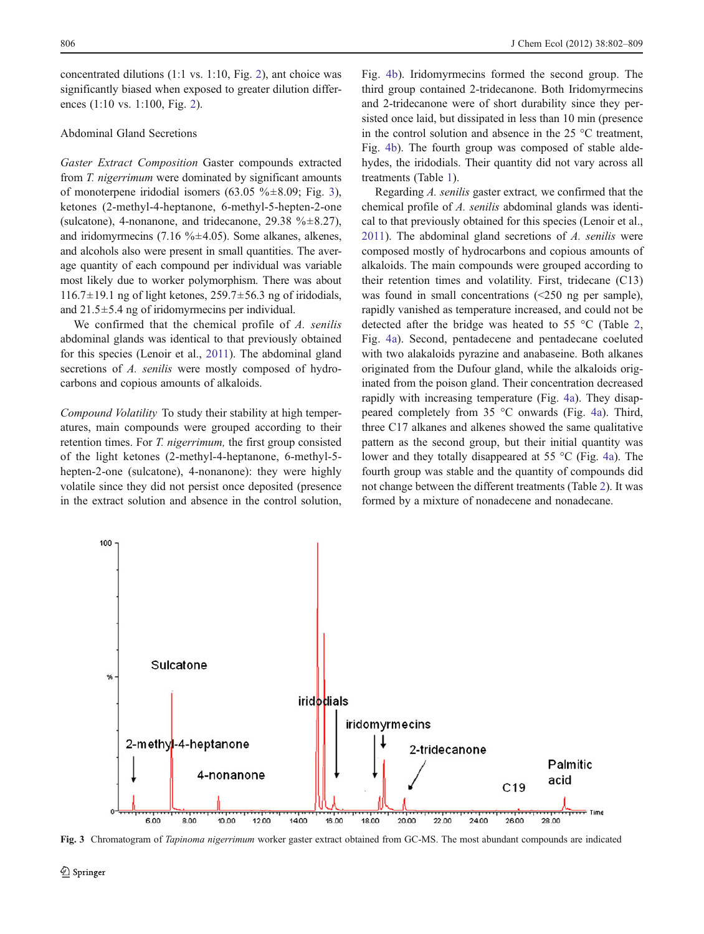concentrated dilutions (1:1 vs. 1:10, Fig. [2](#page-3-0)), ant choice was significantly biased when exposed to greater dilution differences (1:10 vs. 1:100, Fig. [2](#page-3-0)).

# Abdominal Gland Secretions

Gaster Extract Composition Gaster compounds extracted from T. nigerrimum were dominated by significant amounts of monoterpene iridodial isomers (63.05 % $\pm$ 8.09; Fig. 3), ketones (2-methyl-4-heptanone, 6-methyl-5-hepten-2-one (sulcatone), 4-nonanone, and tridecanone, 29.38  $\frac{6}{6}$  ±8.27), and iridomyrmecins (7.16 % $\pm$ 4.05). Some alkanes, alkenes, and alcohols also were present in small quantities. The average quantity of each compound per individual was variable most likely due to worker polymorphism. There was about  $116.7\pm19.1$  ng of light ketones,  $259.7\pm56.3$  ng of iridodials, and 21.5±5.4 ng of iridomyrmecins per individual.

We confirmed that the chemical profile of A. senilis abdominal glands was identical to that previously obtained for this species (Lenoir et al., [2011\)](#page-7-0). The abdominal gland secretions of A. senilis were mostly composed of hydrocarbons and copious amounts of alkaloids.

Compound Volatility To study their stability at high temperatures, main compounds were grouped according to their retention times. For *T. nigerrimum*, the first group consisted of the light ketones (2-methyl-4-heptanone, 6-methyl-5 hepten-2-one (sulcatone), 4-nonanone): they were highly volatile since they did not persist once deposited (presence in the extract solution and absence in the control solution, Fig. [4b\)](#page-5-0). Iridomyrmecins formed the second group. The third group contained 2-tridecanone. Both Iridomyrmecins and 2-tridecanone were of short durability since they persisted once laid, but dissipated in less than 10 min (presence in the control solution and absence in the 25 °C treatment, Fig. [4b](#page-5-0)). The fourth group was composed of stable aldehydes, the iridodials. Their quantity did not vary across all treatments (Table [1](#page-5-0)).

Regarding A. senilis gaster extract, we confirmed that the chemical profile of A. senilis abdominal glands was identical to that previously obtained for this species (Lenoir et al., [2011\)](#page-7-0). The abdominal gland secretions of  $A$ , senilis were composed mostly of hydrocarbons and copious amounts of alkaloids. The main compounds were grouped according to their retention times and volatility. First, tridecane (C13) was found in small concentrations (<250 ng per sample), rapidly vanished as temperature increased, and could not be detected after the bridge was heated to 55 °C (Table [2,](#page-5-0) Fig. [4a](#page-5-0)). Second, pentadecene and pentadecane coeluted with two alakaloids pyrazine and anabaseine. Both alkanes originated from the Dufour gland, while the alkaloids originated from the poison gland. Their concentration decreased rapidly with increasing temperature (Fig. [4a](#page-5-0)). They disappeared completely from 35 °C onwards (Fig. [4a\)](#page-5-0). Third, three C17 alkanes and alkenes showed the same qualitative pattern as the second group, but their initial quantity was lower and they totally disappeared at 55 °C (Fig. [4a\)](#page-5-0). The fourth group was stable and the quantity of compounds did not change between the different treatments (Table [2\)](#page-5-0). It was formed by a mixture of nonadecene and nonadecane.



Fig. 3 Chromatogram of Tapinoma nigerrimum worker gaster extract obtained from GC-MS. The most abundant compounds are indicated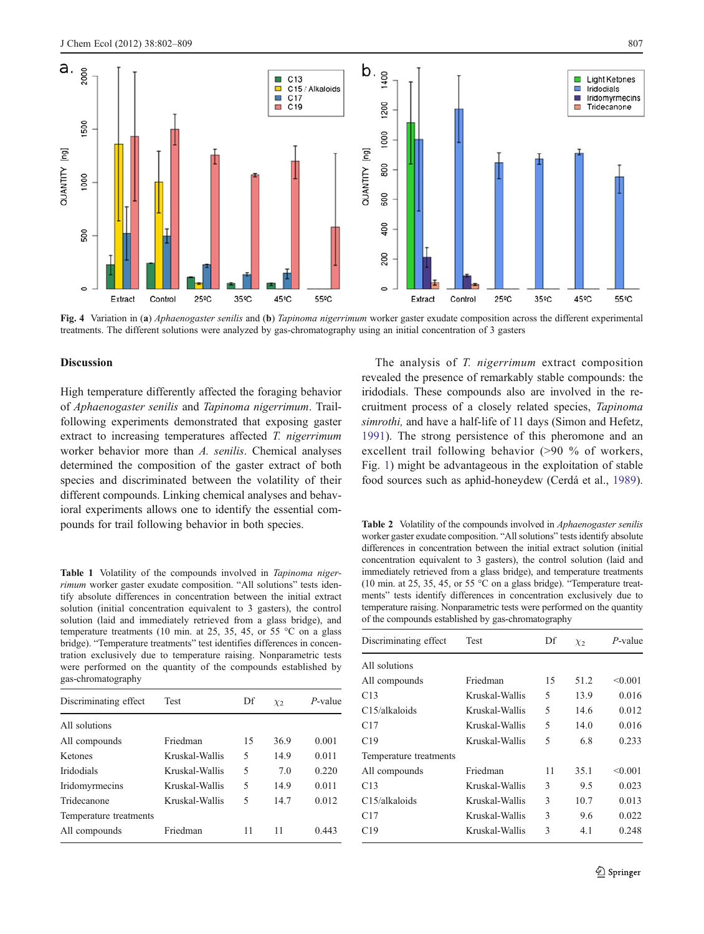<span id="page-5-0"></span>

Fig. 4 Variation in (a) *Aphaenogaster senilis* and (b) *Tapinoma nigerrimum* worker gaster exudate composition across the different experimental treatments. The different solutions were analyzed by gas-chromatography using an initial concentration of 3 gasters

### Discussion

High temperature differently affected the foraging behavior of Aphaenogaster senilis and Tapinoma nigerrimum. Trailfollowing experiments demonstrated that exposing gaster extract to increasing temperatures affected T. nigerrimum worker behavior more than A. senilis. Chemical analyses determined the composition of the gaster extract of both species and discriminated between the volatility of their different compounds. Linking chemical analyses and behavioral experiments allows one to identify the essential compounds for trail following behavior in both species.

Table 1 Volatility of the compounds involved in Tapinoma nigerrimum worker gaster exudate composition. "All solutions" tests identify absolute differences in concentration between the initial extract solution (initial concentration equivalent to 3 gasters), the control solution (laid and immediately retrieved from a glass bridge), and temperature treatments (10 min. at 25, 35, 45, or 55  $\degree$ C on a glass bridge). "Temperature treatments" test identifies differences in concentration exclusively due to temperature raising. Nonparametric tests were performed on the quantity of the compounds established by gas-chromatography

| Discriminating effect  | <b>Test</b>    | Df | $\chi_2$ | $P$ -value |
|------------------------|----------------|----|----------|------------|
| All solutions          |                |    |          |            |
| All compounds          | Friedman       | 15 | 36.9     | 0.001      |
| Ketones                | Kruskal-Wallis | 5  | 14.9     | 0.011      |
| <b>Iridodials</b>      | Kruskal-Wallis | 5  | 7.0      | 0.220      |
| Iridomyrmecins         | Kruskal-Wallis | 5  | 14.9     | 0.011      |
| Tridecanone            | Kruskal-Wallis | 5  | 14.7     | 0.012      |
| Temperature treatments |                |    |          |            |
| All compounds          | Friedman       | 11 | 11       | 0.443      |

The analysis of T. nigerrimum extract composition revealed the presence of remarkably stable compounds: the iridodials. These compounds also are involved in the recruitment process of a closely related species, Tapinoma simrothi, and have a half-life of 11 days (Simon and Hefetz, [1991](#page-7-0)). The strong persistence of this pheromone and an excellent trail following behavior (>90 % of workers, Fig. [1](#page-3-0)) might be advantageous in the exploitation of stable food sources such as aphid-honeydew (Cerdá et al., [1989\)](#page-7-0).

Table 2 Volatility of the compounds involved in *Aphaenogaster senilis* worker gaster exudate composition. "All solutions" tests identify absolute differences in concentration between the initial extract solution (initial concentration equivalent to 3 gasters), the control solution (laid and immediately retrieved from a glass bridge), and temperature treatments (10 min. at 25, 35, 45, or 55 °C on a glass bridge). "Temperature treatments" tests identify differences in concentration exclusively due to temperature raising. Nonparametric tests were performed on the quantity of the compounds established by gas-chromatography

| Discriminating effect  | Test           | Df | $\chi_2$ | $P$ -value |
|------------------------|----------------|----|----------|------------|
| All solutions          |                |    |          |            |
| All compounds          | Friedman       | 15 | 51.2     | < 0.001    |
| C13                    | Kruskal-Wallis | 5  | 13.9     | 0.016      |
| C15/alkaloids          | Kruskal-Wallis | 5  | 14.6     | 0.012      |
| C17                    | Kruskal-Wallis | 5  | 14.0     | 0.016      |
| C19                    | Kruskal-Wallis | 5  | 6.8      | 0.233      |
| Temperature treatments |                |    |          |            |
| All compounds          | Friedman       | 11 | 35.1     | < 0.001    |
| C13                    | Kruskal-Wallis | 3  | 9.5      | 0.023      |
| C15/alkaloids          | Kruskal-Wallis | 3  | 10.7     | 0.013      |
| C17                    | Kruskal-Wallis | 3  | 9.6      | 0.022      |
| C19                    | Kruskal-Wallis | 3  | 4.1      | 0.248      |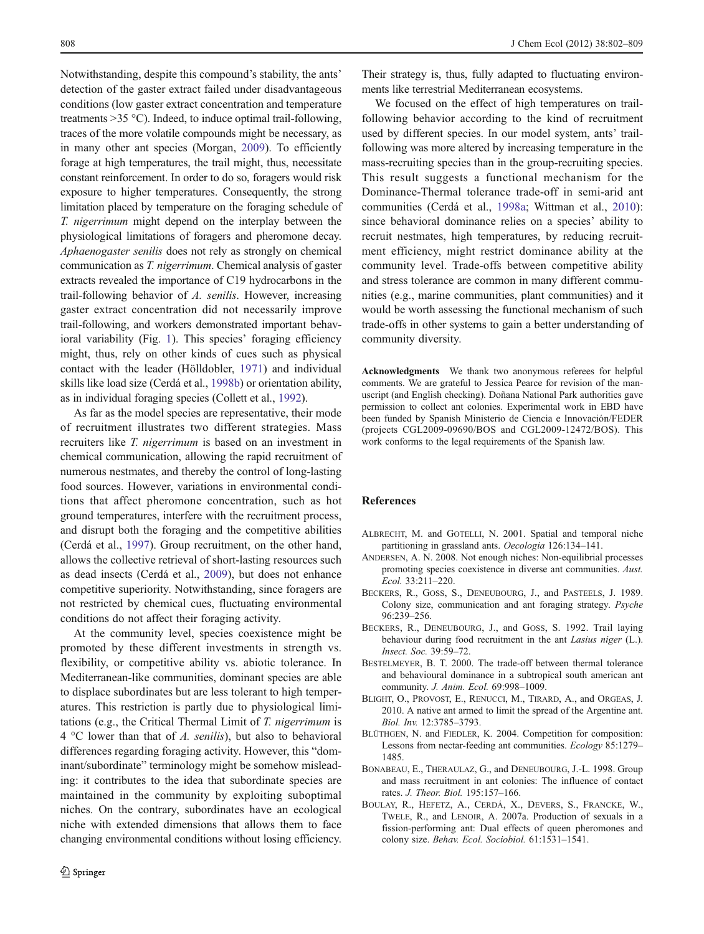<span id="page-6-0"></span>Notwithstanding, despite this compound's stability, the ants' detection of the gaster extract failed under disadvantageous conditions (low gaster extract concentration and temperature treatments  $>35$  °C). Indeed, to induce optimal trail-following, traces of the more volatile compounds might be necessary, as in many other ant species (Morgan, [2009](#page-7-0)). To efficiently forage at high temperatures, the trail might, thus, necessitate constant reinforcement. In order to do so, foragers would risk exposure to higher temperatures. Consequently, the strong limitation placed by temperature on the foraging schedule of T. nigerrimum might depend on the interplay between the physiological limitations of foragers and pheromone decay. Aphaenogaster senilis does not rely as strongly on chemical communication as T. nigerrimum. Chemical analysis of gaster extracts revealed the importance of C19 hydrocarbons in the trail-following behavior of A. senilis. However, increasing gaster extract concentration did not necessarily improve trail-following, and workers demonstrated important behavioral variability (Fig. [1](#page-3-0)). This species' foraging efficiency might, thus, rely on other kinds of cues such as physical contact with the leader (Hölldobler, [1971\)](#page-7-0) and individual skills like load size (Cerdá et al., [1998b\)](#page-7-0) or orientation ability, as in individual foraging species (Collett et al., [1992\)](#page-7-0).

As far as the model species are representative, their mode of recruitment illustrates two different strategies. Mass recruiters like T. nigerrimum is based on an investment in chemical communication, allowing the rapid recruitment of numerous nestmates, and thereby the control of long-lasting food sources. However, variations in environmental conditions that affect pheromone concentration, such as hot ground temperatures, interfere with the recruitment process, and disrupt both the foraging and the competitive abilities (Cerdá et al., [1997\)](#page-7-0). Group recruitment, on the other hand, allows the collective retrieval of short-lasting resources such as dead insects (Cerdá et al., [2009\)](#page-7-0), but does not enhance competitive superiority. Notwithstanding, since foragers are not restricted by chemical cues, fluctuating environmental conditions do not affect their foraging activity.

At the community level, species coexistence might be promoted by these different investments in strength vs. flexibility, or competitive ability vs. abiotic tolerance. In Mediterranean-like communities, dominant species are able to displace subordinates but are less tolerant to high temperatures. This restriction is partly due to physiological limitations (e.g., the Critical Thermal Limit of T. nigerrimum is  $4^{\circ}$ C lower than that of *A. senilis*), but also to behavioral differences regarding foraging activity. However, this "dominant/subordinate" terminology might be somehow misleading: it contributes to the idea that subordinate species are maintained in the community by exploiting suboptimal niches. On the contrary, subordinates have an ecological niche with extended dimensions that allows them to face changing environmental conditions without losing efficiency.

Their strategy is, thus, fully adapted to fluctuating environments like terrestrial Mediterranean ecosystems.

We focused on the effect of high temperatures on trailfollowing behavior according to the kind of recruitment used by different species. In our model system, ants' trailfollowing was more altered by increasing temperature in the mass-recruiting species than in the group-recruiting species. This result suggests a functional mechanism for the Dominance-Thermal tolerance trade-off in semi-arid ant communities (Cerdá et al., [1998a;](#page-7-0) Wittman et al., [2010](#page-7-0)): since behavioral dominance relies on a species' ability to recruit nestmates, high temperatures, by reducing recruitment efficiency, might restrict dominance ability at the community level. Trade-offs between competitive ability and stress tolerance are common in many different communities (e.g., marine communities, plant communities) and it would be worth assessing the functional mechanism of such trade-offs in other systems to gain a better understanding of community diversity.

Acknowledgments We thank two anonymous referees for helpful comments. We are grateful to Jessica Pearce for revision of the manuscript (and English checking). Doñana National Park authorities gave permission to collect ant colonies. Experimental work in EBD have been funded by Spanish Ministerio de Ciencia e Innovación/FEDER (projects CGL2009-09690/BOS and CGL2009-12472/BOS). This work conforms to the legal requirements of the Spanish law.

#### References

- ALBRECHT, M. and GOTELLI, N. 2001. Spatial and temporal niche partitioning in grassland ants. Oecologia 126:134–141.
- ANDERSEN, A. N. 2008. Not enough niches: Non-equilibrial processes promoting species coexistence in diverse ant communities. Aust. Ecol. 33:211–220.
- BECKERS, R., GOSS, S., DENEUBOURG, J., and PASTEELS, J. 1989. Colony size, communication and ant foraging strategy. Psyche 96:239–256.
- BECKERS, R., DENEUBOURG, J., and GOSS, S. 1992. Trail laying behaviour during food recruitment in the ant *Lasius niger* (L.). Insect. Soc. 39:59–72.
- BESTELMEYER, B. T. 2000. The trade-off between thermal tolerance and behavioural dominance in a subtropical south american ant community. J. Anim. Ecol. 69:998–1009.
- BLIGHT, O., PROVOST, E., RENUCCI, M., TIRARD, A., and ORGEAS, J. 2010. A native ant armed to limit the spread of the Argentine ant. Biol. Inv. 12:3785–3793.
- BLÜTHGEN, N. and FIEDLER, K. 2004. Competition for composition: Lessons from nectar-feeding ant communities. Ecology 85:1279– 1485.
- BONABEAU, E., THERAULAZ, G., and DENEUBOURG, J.-L. 1998. Group and mass recruitment in ant colonies: The influence of contact rates. J. Theor. Biol. 195:157–166.
- BOULAY, R., HEFETZ, A., CERDÁ, X., DEVERS, S., FRANCKE, W., TWELE, R., and LENOIR, A. 2007a. Production of sexuals in a fission-performing ant: Dual effects of queen pheromones and colony size. Behav. Ecol. Sociobiol. 61:1531–1541.